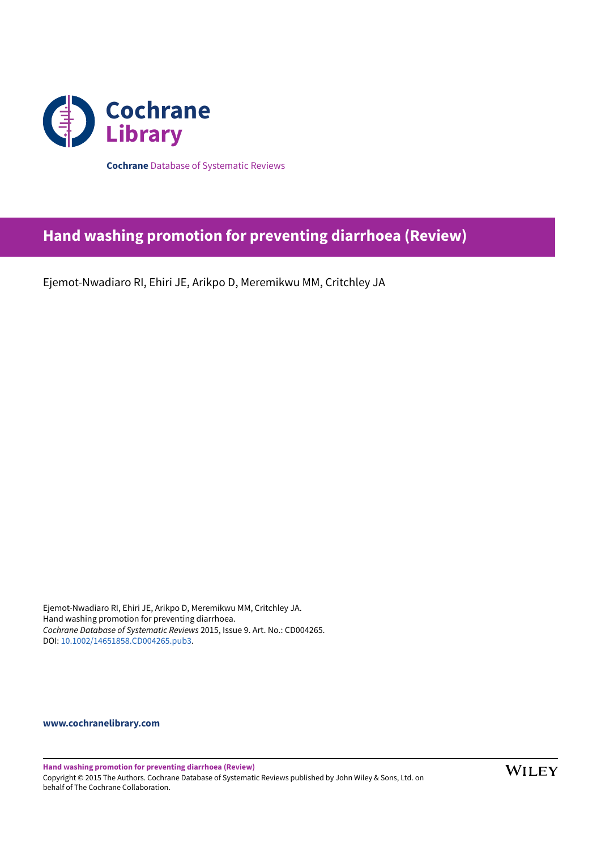

**Cochrane** Database of Systematic Reviews

# **Hand washing promotion for preventing diarrhoea (Review)**

Ejemot-Nwadiaro RI, Ehiri JE, Arikpo D, Meremikwu MM, Critchley JA

Ejemot-Nwadiaro RI, Ehiri JE, Arikpo D, Meremikwu MM, Critchley JA. Hand washing promotion for preventing diarrhoea. *Cochrane Database of Systematic Reviews* 2015, Issue 9. Art. No.: CD004265. DOI: [10.1002/14651858.CD004265.pub3.](https://doi.org/10.1002%2F14651858.CD004265.pub3)

**[www.cochranelibrary.com](https://www.cochranelibrary.com)**

**Hand washing promotion for preventing diarrhoea (Review)** Copyright © 2015 The Authors. Cochrane Database of Systematic Reviews published by John Wiley & Sons, Ltd. on behalf of The Cochrane Collaboration.

**WILEY**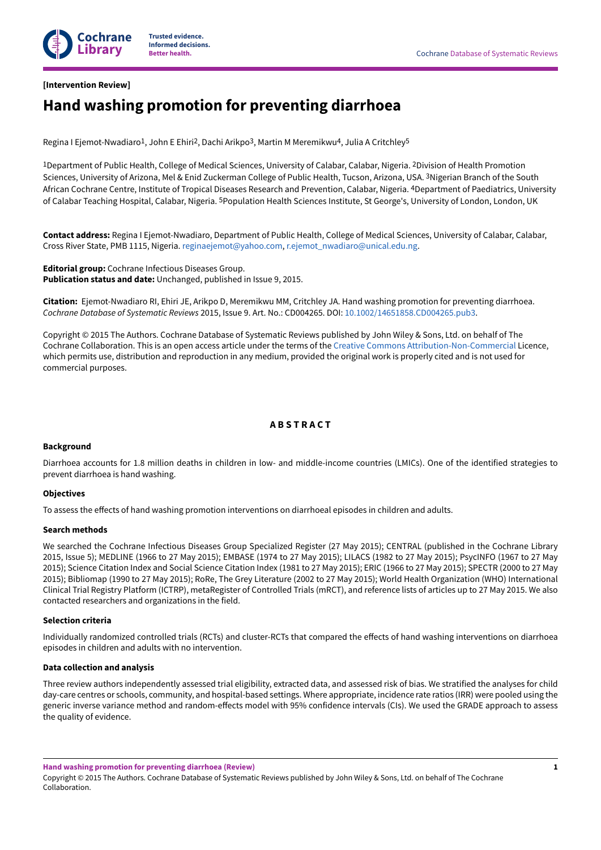

#### **[Intervention Review]**

## **Hand washing promotion for preventing diarrhoea**

Regina I Ejemot-Nwadiaro<sup>1</sup>, John E Ehiri<sup>2</sup>, Dachi Arikpo<sup>3</sup>, Martin M Meremikwu<sup>4</sup>, Julia A Critchley<sup>5</sup>

<sup>1</sup>Department of Public Health, College of Medical Sciences, University of Calabar, Calabar, Nigeria. <sup>2</sup>Division of Health Promotion Sciences, University of Arizona, Mel & Enid Zuckerman College of Public Health, Tucson, Arizona, USA. 3Nigerian Branch of the South African Cochrane Centre, Institute of Tropical Diseases Research and Prevention, Calabar, Nigeria. 4Department of Paediatrics, University of Calabar Teaching Hospital, Calabar, Nigeria. <sup>5</sup>Population Health Sciences Institute, St George's, University of London, London, UK

**Contact address:** Regina I Ejemot-Nwadiaro, Department of Public Health, College of Medical Sciences, University of Calabar, Calabar, Cross River State, PMB 1115, Nigeria. [reginaejemot@yahoo.com,](mailto:reginaejemot@yahoo.com) [r.ejemot\\_nwadiaro@unical.edu.ng.](mailto:r.ejemot_nwadiaro@unical.edu.ng)

**Editorial group:** Cochrane Infectious Diseases Group. **Publication status and date:** Unchanged, published in Issue 9, 2015.

**Citation:** Ejemot-Nwadiaro RI, Ehiri JE, Arikpo D, Meremikwu MM, Critchley JA. Hand washing promotion for preventing diarrhoea. *Cochrane Database of Systematic Reviews* 2015, Issue 9. Art. No.: CD004265. DOI: [10.1002/14651858.CD004265.pub3](https://doi.org/10.1002%2F14651858.CD004265.pub3).

Copyright © 2015 The Authors. Cochrane Database of Systematic Reviews published by John Wiley & Sons, Ltd. on behalf of The Cochrane Collaboration. This is an open access article under the terms of the Creative Commons [Attribution-Non-Commercial](http://creativecommons.org/licenses/by-nc/4.0/) Licence, which permits use, distribution and reproduction in any medium, provided the original work is properly cited and is not used for commercial purposes.

### **A B S T R A C T**

#### **Background**

Diarrhoea accounts for 1.8 million deaths in children in low- and middle-income countries (LMICs). One of the identified strategies to prevent diarrhoea is hand washing.

#### **Objectives**

To assess the effects of hand washing promotion interventions on diarrhoeal episodes in children and adults.

#### **Search methods**

We searched the Cochrane Infectious Diseases Group Specialized Register (27 May 2015); CENTRAL (published in the Cochrane Library 2015, Issue 5); MEDLINE (1966 to 27 May 2015); EMBASE (1974 to 27 May 2015); LILACS (1982 to 27 May 2015); PsycINFO (1967 to 27 May 2015); Science Citation Index and Social Science Citation Index (1981 to 27 May 2015); ERIC (1966 to 27 May 2015); SPECTR (2000 to 27 May 2015); Bibliomap (1990 to 27 May 2015); RoRe, The Grey Literature (2002 to 27 May 2015); World Health Organization (WHO) International Clinical Trial Registry Platform (ICTRP), metaRegister of Controlled Trials (mRCT), and reference lists of articles up to 27 May 2015. We also contacted researchers and organizations in the field.

#### **Selection criteria**

Individually randomized controlled trials (RCTs) and cluster-RCTs that compared the effects of hand washing interventions on diarrhoea episodes in children and adults with no intervention.

#### **Data collection and analysis**

Three review authors independently assessed trial eligibility, extracted data, and assessed risk of bias. We stratified the analyses for child day-care centres or schools, community, and hospital-based settings. Where appropriate, incidence rate ratios (IRR) were pooled using the generic inverse variance method and random-effects model with 95% confidence intervals (CIs). We used the GRADE approach to assess the quality of evidence.

**Hand washing promotion for preventing diarrhoea (Review)**

Copyright © 2015 The Authors. Cochrane Database of Systematic Reviews published by John Wiley & Sons, Ltd. on behalf of The Cochrane Collaboration.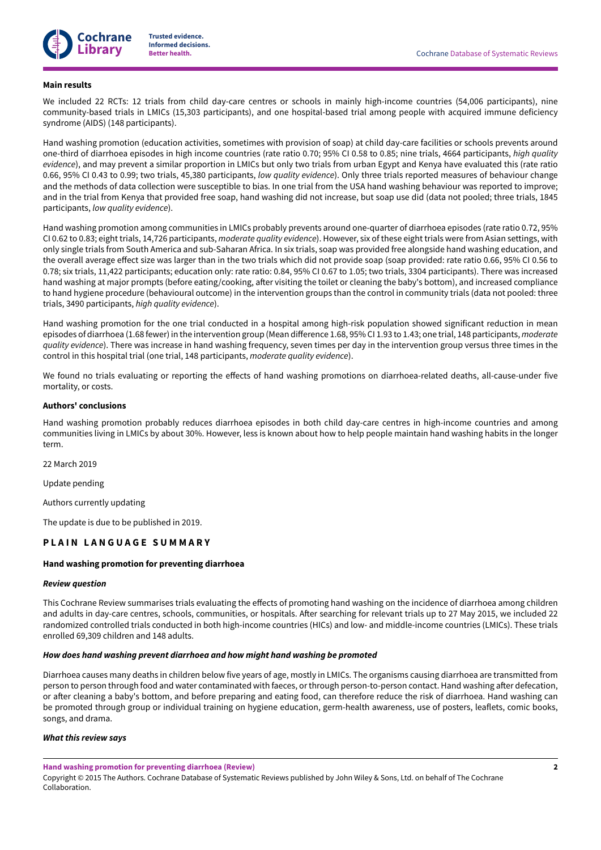

#### **Main results**

We included 22 RCTs: 12 trials from child day-care centres or schools in mainly high-income countries (54,006 participants), nine community-based trials in LMICs (15,303 participants), and one hospital-based trial among people with acquired immune deficiency syndrome (AIDS) (148 participants).

Hand washing promotion (education activities, sometimes with provision of soap) at child day-care facilities or schools prevents around one-third of diarrhoea episodes in high income countries (rate ratio 0.70; 95% CI 0.58 to 0.85; nine trials, 4664 participants, *high quality evidence*), and may prevent a similar proportion in LMICs but only two trials from urban Egypt and Kenya have evaluated this (rate ratio 0.66, 95% CI 0.43 to 0.99; two trials, 45,380 participants, *low quality evidence*). Only three trials reported measures of behaviour change and the methods of data collection were susceptible to bias. In one trial from the USA hand washing behaviour was reported to improve; and in the trial from Kenya that provided free soap, hand washing did not increase, but soap use did (data not pooled; three trials, 1845 participants, *low quality evidence*).

Hand washing promotion among communities in LMICs probably prevents around one-quarter of diarrhoea episodes (rate ratio 0.72, 95% CI 0.62 to 0.83; eight trials, 14,726 participants, *moderate quality evidence*). However, six of these eight trials were from Asian settings, with only single trials from South America and sub-Saharan Africa. In six trials, soap was provided free alongside hand washing education, and the overall average effect size was larger than in the two trials which did not provide soap (soap provided: rate ratio 0.66, 95% CI 0.56 to 0.78; six trials, 11,422 participants; education only: rate ratio: 0.84, 95% CI 0.67 to 1.05; two trials, 3304 participants). There was increased hand washing at major prompts (before eating/cooking, after visiting the toilet or cleaning the baby's bottom), and increased compliance to hand hygiene procedure (behavioural outcome) in the intervention groups than the control in community trials (data not pooled: three trials, 3490 participants, *high quality evidence*).

Hand washing promotion for the one trial conducted in a hospital among high-risk population showed significant reduction in mean episodes of diarrhoea (1.68 fewer) in the intervention group (Mean difference 1.68, 95% CI 1.93 to 1.43; one trial, 148 participants, *moderate quality evidence*). There was increase in hand washing frequency, seven times per day in the intervention group versus three times in the control in this hospital trial (one trial, 148 participants, *moderate quality evidence*).

We found no trials evaluating or reporting the effects of hand washing promotions on diarrhoea-related deaths, all-cause-under five mortality, or costs.

#### **Authors' conclusions**

Hand washing promotion probably reduces diarrhoea episodes in both child day-care centres in high-income countries and among communities living in LMICs by about 30%. However, less is known about how to help people maintain hand washing habits in the longer term.

22 March 2019

Update pending

Authors currently updating

The update is due to be published in 2019.

#### **P L A I N L A N G U A G E S U M M A R Y**

#### **Hand washing promotion for preventing diarrhoea**

#### *Review question*

This Cochrane Review summarises trials evaluating the effects of promoting hand washing on the incidence of diarrhoea among children and adults in day-care centres, schools, communities, or hospitals. After searching for relevant trials up to 27 May 2015, we included 22 randomized controlled trials conducted in both high-income countries (HICs) and low- and middle-income countries (LMICs). These trials enrolled 69,309 children and 148 adults.

#### *How does hand washing prevent diarrhoea and how might hand washing be promoted*

Diarrhoea causes many deaths in children below five years of age, mostly in LMICs. The organisms causing diarrhoea are transmitted from person to person through food and water contaminated with faeces, or through person-to-person contact. Hand washing after defecation, or after cleaning a baby's bottom, and before preparing and eating food, can therefore reduce the risk of diarrhoea. Hand washing can be promoted through group or individual training on hygiene education, germ-health awareness, use of posters, leaflets, comic books, songs, and drama.

#### *What this review says*

**Hand washing promotion for preventing diarrhoea (Review)**

Copyright © 2015 The Authors. Cochrane Database of Systematic Reviews published by John Wiley & Sons, Ltd. on behalf of The Cochrane Collaboration.